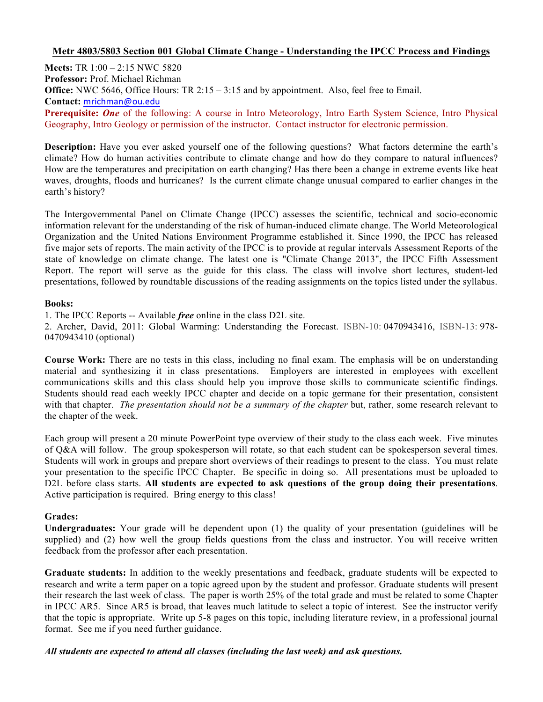# **Metr 4803/5803 Section 001 Global Climate Change - Understanding the IPCC Process and Findings**

**Meets:** TR 1:00 – 2:15 NWC 5820 **Professor:** Prof. Michael Richman **Office:** NWC 5646, Office Hours: TR 2:15 – 3:15 and by appointment. Also, feel free to Email. **Contact:** mrichman@ou.edu **Prerequisite:** *One* of the following: A course in Intro Meteorology, Intro Earth System Science, Intro Physical Geography, Intro Geology or permission of the instructor. Contact instructor for electronic permission.

**Description:** Have you ever asked yourself one of the following questions? What factors determine the earth's climate? How do human activities contribute to climate change and how do they compare to natural influences? How are the temperatures and precipitation on earth changing? Has there been a change in extreme events like heat waves, droughts, floods and hurricanes? Is the current climate change unusual compared to earlier changes in the earth's history?

The Intergovernmental Panel on Climate Change (IPCC) assesses the scientific, technical and socio-economic information relevant for the understanding of the risk of human-induced climate change. The World Meteorological Organization and the United Nations Environment Programme established it. Since 1990, the IPCC has released five major sets of reports. The main activity of the IPCC is to provide at regular intervals Assessment Reports of the state of knowledge on climate change. The latest one is "Climate Change 2013", the IPCC Fifth Assessment Report. The report will serve as the guide for this class. The class will involve short lectures, student-led presentations, followed by roundtable discussions of the reading assignments on the topics listed under the syllabus.

#### **Books:**

1. The IPCC Reports -- Available *free* online in the class D2L site.

2. Archer, David, 2011: Global Warming: Understanding the Forecast. ISBN-10: 0470943416, ISBN-13: 978- 0470943410 (optional)

**Course Work:** There are no tests in this class, including no final exam. The emphasis will be on understanding material and synthesizing it in class presentations. Employers are interested in employees with excellent communications skills and this class should help you improve those skills to communicate scientific findings. Students should read each weekly IPCC chapter and decide on a topic germane for their presentation, consistent with that chapter. *The presentation should not be a summary of the chapter* but, rather, some research relevant to the chapter of the week.

Each group will present a 20 minute PowerPoint type overview of their study to the class each week. Five minutes of Q&A will follow. The group spokesperson will rotate, so that each student can be spokesperson several times. Students will work in groups and prepare short overviews of their readings to present to the class. You must relate your presentation to the specific IPCC Chapter. Be specific in doing so. All presentations must be uploaded to D2L before class starts. **All students are expected to ask questions of the group doing their presentations**. Active participation is required. Bring energy to this class!

## **Grades:**

**Undergraduates:** Your grade will be dependent upon (1) the quality of your presentation (guidelines will be supplied) and (2) how well the group fields questions from the class and instructor. You will receive written feedback from the professor after each presentation.

**Graduate students:** In addition to the weekly presentations and feedback, graduate students will be expected to research and write a term paper on a topic agreed upon by the student and professor. Graduate students will present their research the last week of class. The paper is worth 25% of the total grade and must be related to some Chapter in IPCC AR5. Since AR5 is broad, that leaves much latitude to select a topic of interest. See the instructor verify that the topic is appropriate. Write up 5-8 pages on this topic, including literature review, in a professional journal format. See me if you need further guidance.

## *All students are expected to attend all classes (including the last week) and ask questions.*